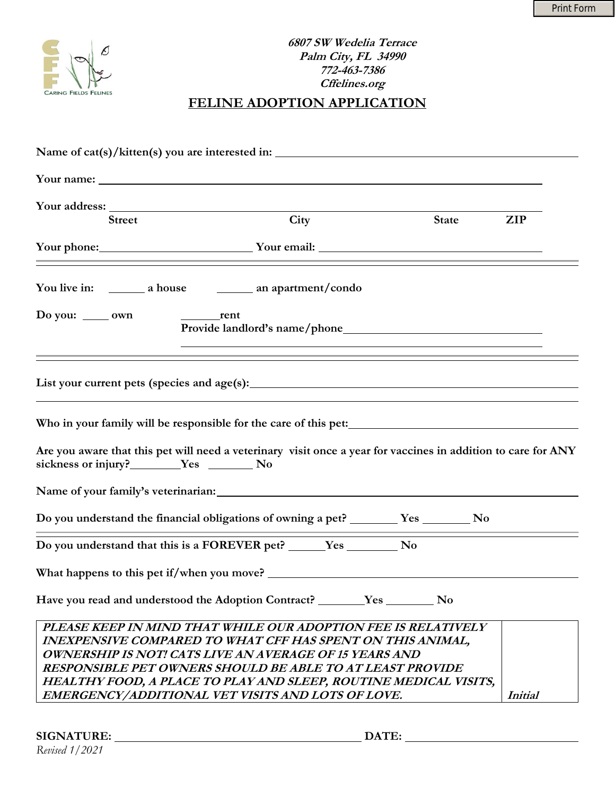

| <b>Street</b>                  | City                                                                                                                                                                                                                                                                                                                                 | <b>State</b> | <b>ZIP</b>     |
|--------------------------------|--------------------------------------------------------------------------------------------------------------------------------------------------------------------------------------------------------------------------------------------------------------------------------------------------------------------------------------|--------------|----------------|
|                                | Your phone: Your email: Your email:                                                                                                                                                                                                                                                                                                  |              |                |
|                                |                                                                                                                                                                                                                                                                                                                                      |              |                |
| Do you: $\_\_\_$ own           |                                                                                                                                                                                                                                                                                                                                      |              |                |
|                                |                                                                                                                                                                                                                                                                                                                                      |              |                |
|                                |                                                                                                                                                                                                                                                                                                                                      |              |                |
| sickness or injury?<br>Yes  No | Are you aware that this pet will need a veterinary visit once a year for vaccines in addition to care for ANY                                                                                                                                                                                                                        |              |                |
|                                |                                                                                                                                                                                                                                                                                                                                      |              |                |
|                                | Do you understand the financial obligations of owning a pet? _______ Yes _______ No                                                                                                                                                                                                                                                  |              |                |
|                                |                                                                                                                                                                                                                                                                                                                                      |              |                |
|                                |                                                                                                                                                                                                                                                                                                                                      |              |                |
|                                | Have you read and understood the Adoption Contract? ________Yes ___________No                                                                                                                                                                                                                                                        |              |                |
|                                | PLEASE KEEP IN MIND THAT WHILE OUR ADOPTION FEE IS RELATIVELY<br><b>INEXPENSIVE COMPARED TO WHAT CFF HAS SPENT ON THIS ANIMAL,</b><br>OWNERSHIP IS NOT! CATS LIVE AN AVERAGE OF 15 YEARS AND<br>RESPONSIBLE PET OWNERS SHOULD BE ABLE TO AT LEAST PROVIDE<br><b>HEALTHY FOOD, A PLACE TO PLAY AND SLEEP, ROUTINE MEDICAL VISITS,</b> |              |                |
|                                | EMERGENCY/ADDITIONAL VET VISITS AND LOTS OF LOVE.                                                                                                                                                                                                                                                                                    |              | <b>Initial</b> |